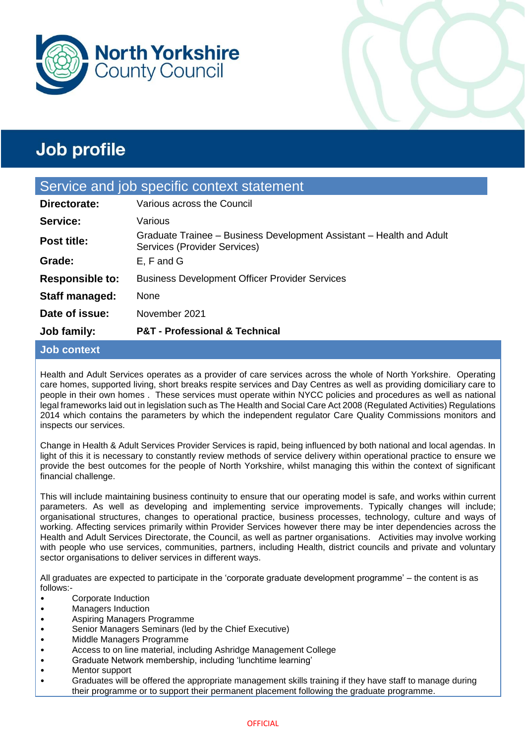



| Service and job specific context statement |                                                                                                      |  |
|--------------------------------------------|------------------------------------------------------------------------------------------------------|--|
| Directorate:                               | Various across the Council                                                                           |  |
| Service:                                   | Various                                                                                              |  |
| <b>Post title:</b>                         | Graduate Trainee – Business Development Assistant – Health and Adult<br>Services (Provider Services) |  |
| Grade:                                     | E, F and G                                                                                           |  |
| <b>Responsible to:</b>                     | <b>Business Development Officer Provider Services</b>                                                |  |
| Staff managed:                             | None                                                                                                 |  |
| Date of issue:                             | November 2021                                                                                        |  |
| Job family:                                | <b>P&amp;T - Professional &amp; Technical</b>                                                        |  |

### **Job context**

Health and Adult Services operates as a provider of care services across the whole of North Yorkshire. Operating care homes, supported living, short breaks respite services and Day Centres as well as providing domiciliary care to people in their own homes . These services must operate within NYCC policies and procedures as well as national legal frameworks laid out in legislation such as The Health and Social Care Act 2008 (Regulated Activities) Regulations 2014 which contains the parameters by which the independent regulator Care Quality Commissions monitors and inspects our services.

Change in Health & Adult Services Provider Services is rapid, being influenced by both national and local agendas. In light of this it is necessary to constantly review methods of service delivery within operational practice to ensure we provide the best outcomes for the people of North Yorkshire, whilst managing this within the context of significant financial challenge.

This will include maintaining business continuity to ensure that our operating model is safe, and works within current parameters. As well as developing and implementing service improvements. Typically changes will include; organisational structures, changes to operational practice, business processes, technology, culture and ways of working. Affecting services primarily within Provider Services however there may be inter dependencies across the Health and Adult Services Directorate, the Council, as well as partner organisations. Activities may involve working with people who use services, communities, partners, including Health, district councils and private and voluntary sector organisations to deliver services in different ways.

All graduates are expected to participate in the 'corporate graduate development programme' – the content is as follows:-

- Corporate Induction
- Managers Induction
- Aspiring Managers Programme
- Senior Managers Seminars (led by the Chief Executive)
- Middle Managers Programme
- Access to on line material, including Ashridge Management College
- Graduate Network membership, including 'lunchtime learning'
- Mentor support
- Graduates will be offered the appropriate management skills training if they have staff to manage during their programme or to support their permanent placement following the graduate programme.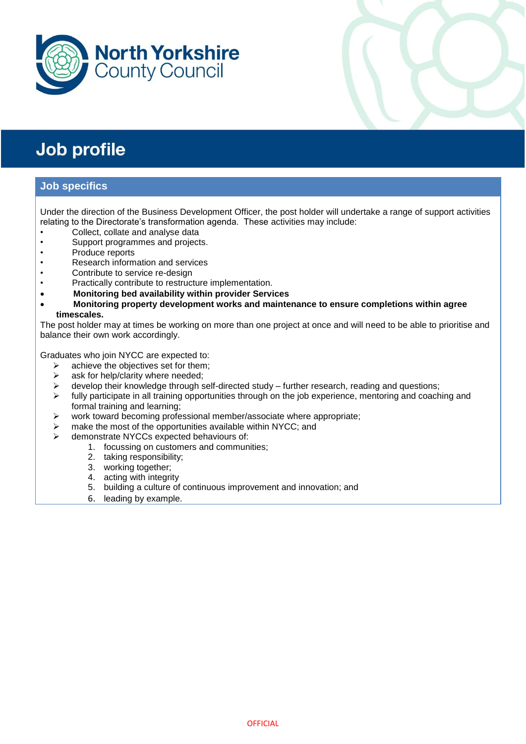



### **Job specifics**

Under the direction of the Business Development Officer, the post holder will undertake a range of support activities relating to the Directorate's transformation agenda. These activities may include:

- Collect, collate and analyse data
- Support programmes and projects.
- Produce reports
- Research information and services
- Contribute to service re-design
- Practically contribute to restructure implementation.
- **Monitoring bed availability within provider Services**
- **Monitoring property development works and maintenance to ensure completions within agree timescales.**

The post holder may at times be working on more than one project at once and will need to be able to prioritise and balance their own work accordingly.

Graduates who join NYCC are expected to:

- $\triangleright$  achieve the objectives set for them;
- $\triangleright$  ask for help/clarity where needed;
- $\triangleright$  develop their knowledge through self-directed study further research, reading and questions;
- $\triangleright$  fully participate in all training opportunities through on the job experience, mentoring and coaching and formal training and learning;
- $\triangleright$  work toward becoming professional member/associate where appropriate;
- $\triangleright$  make the most of the opportunities available within NYCC; and
- demonstrate NYCCs expected behaviours of:
	- 1. focussing on customers and communities;
	- 2. taking responsibility;
	- 3. working together;
	- 4. acting with integrity
	- 5. building a culture of continuous improvement and innovation; and
	- 6. leading by example.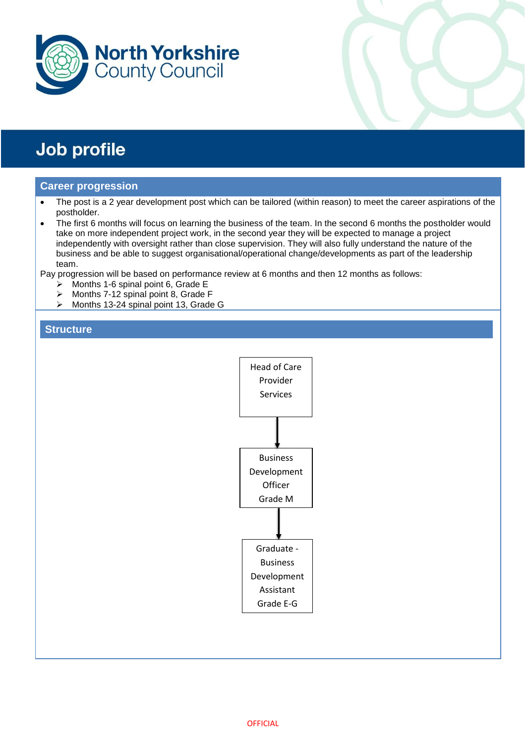



#### **Career progression**

- The post is a 2 year development post which can be tailored (within reason) to meet the career aspirations of the postholder.
- The first 6 months will focus on learning the business of the team. In the second 6 months the postholder would take on more independent project work, in the second year they will be expected to manage a project independently with oversight rather than close supervision. They will also fully understand the nature of the business and be able to suggest organisational/operational change/developments as part of the leadership team.

Pay progression will be based on performance review at 6 months and then 12 months as follows:

- $\triangleright$  Months 1-6 spinal point 6, Grade E
- $\triangleright$  Months 7-12 spinal point 8, Grade F
- > Months 13-24 spinal point 13, Grade G

#### **Structure**

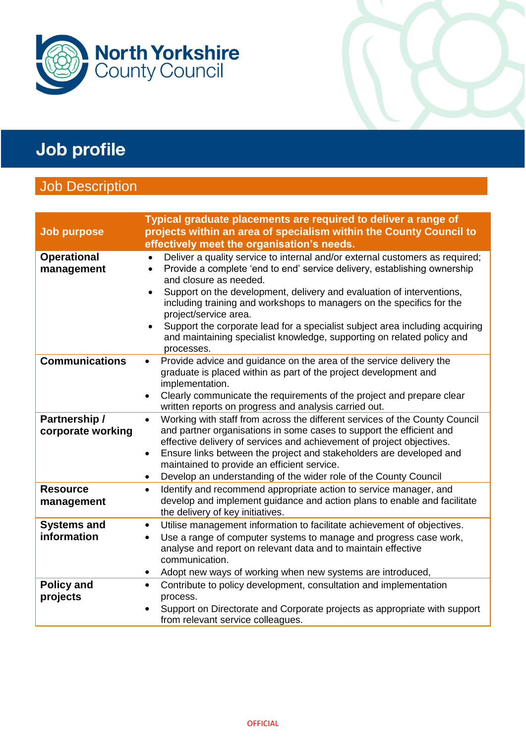

## Job Description

| <b>Job purpose</b>                 | Typical graduate placements are required to deliver a range of<br>projects within an area of specialism within the County Council to<br>effectively meet the organisation's needs.                                                                                                                                                                                                                                                                                                                                                                                           |
|------------------------------------|------------------------------------------------------------------------------------------------------------------------------------------------------------------------------------------------------------------------------------------------------------------------------------------------------------------------------------------------------------------------------------------------------------------------------------------------------------------------------------------------------------------------------------------------------------------------------|
| <b>Operational</b><br>management   | Deliver a quality service to internal and/or external customers as required;<br>$\bullet$<br>Provide a complete 'end to end' service delivery, establishing ownership<br>$\bullet$<br>and closure as needed.<br>Support on the development, delivery and evaluation of interventions,<br>$\bullet$<br>including training and workshops to managers on the specifics for the<br>project/service area.<br>Support the corporate lead for a specialist subject area including acquiring<br>and maintaining specialist knowledge, supporting on related policy and<br>processes. |
| <b>Communications</b>              | Provide advice and guidance on the area of the service delivery the<br>$\bullet$<br>graduate is placed within as part of the project development and<br>implementation.<br>Clearly communicate the requirements of the project and prepare clear<br>written reports on progress and analysis carried out.                                                                                                                                                                                                                                                                    |
| Partnership /<br>corporate working | Working with staff from across the different services of the County Council<br>$\bullet$<br>and partner organisations in some cases to support the efficient and<br>effective delivery of services and achievement of project objectives.<br>Ensure links between the project and stakeholders are developed and<br>$\bullet$<br>maintained to provide an efficient service.<br>Develop an understanding of the wider role of the County Council<br>٠                                                                                                                        |
| <b>Resource</b><br>management      | Identify and recommend appropriate action to service manager, and<br>$\bullet$<br>develop and implement guidance and action plans to enable and facilitate<br>the delivery of key initiatives.                                                                                                                                                                                                                                                                                                                                                                               |
| <b>Systems and</b><br>information  | Utilise management information to facilitate achievement of objectives.<br>$\bullet$<br>Use a range of computer systems to manage and progress case work,<br>$\bullet$<br>analyse and report on relevant data and to maintain effective<br>communication.<br>Adopt new ways of working when new systems are introduced,                                                                                                                                                                                                                                                      |
| <b>Policy and</b><br>projects      | Contribute to policy development, consultation and implementation<br>$\bullet$<br>process.<br>Support on Directorate and Corporate projects as appropriate with support<br>$\bullet$<br>from relevant service colleagues.                                                                                                                                                                                                                                                                                                                                                    |